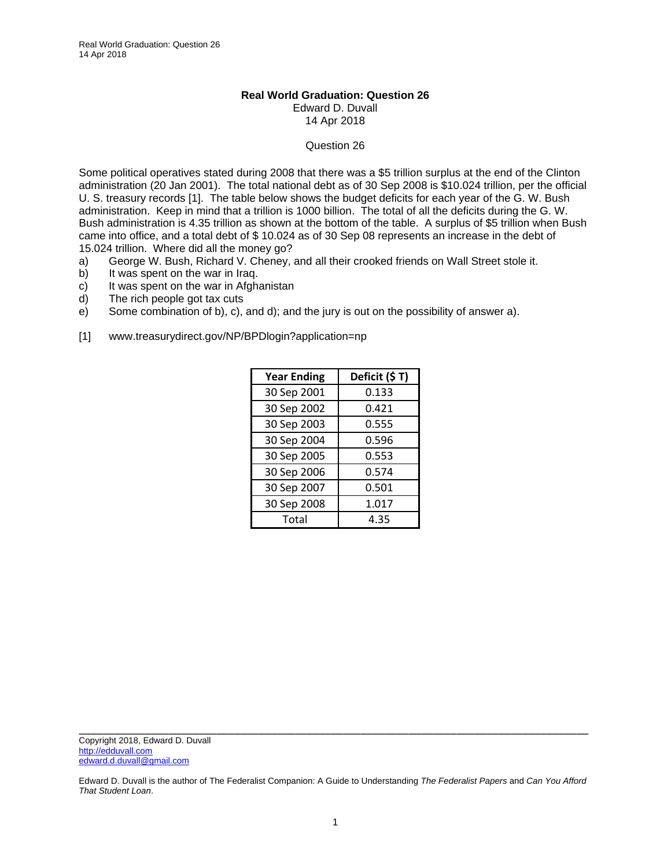## **Real World Graduation: Question 26**  Edward D. Duvall 14 Apr 2018

## Question 26

Some political operatives stated during 2008 that there was a \$5 trillion surplus at the end of the Clinton administration (20 Jan 2001). The total national debt as of 30 Sep 2008 is \$10.024 trillion, per the official U. S. treasury records [1]. The table below shows the budget deficits for each year of the G. W. Bush administration. Keep in mind that a trillion is 1000 billion. The total of all the deficits during the G. W. Bush administration is 4.35 trillion as shown at the bottom of the table. A surplus of \$5 trillion when Bush came into office, and a total debt of \$ 10.024 as of 30 Sep 08 represents an increase in the debt of 15.024 trillion. Where did all the money go?

- a) George W. Bush, Richard V. Cheney, and all their crooked friends on Wall Street stole it.
- b) It was spent on the war in Iraq.
- c) It was spent on the war in Afghanistan
- d) The rich people got tax cuts
- e) Some combination of b), c), and d); and the jury is out on the possibility of answer a).
- [1] www.treasurydirect.gov/NP/BPDlogin?application=np

| <b>Year Ending</b> | Deficit (\$T) |
|--------------------|---------------|
| 30 Sep 2001        | 0.133         |
| 30 Sep 2002        | 0.421         |
| 30 Sep 2003        | 0.555         |
| 30 Sep 2004        | 0.596         |
| 30 Sep 2005        | 0.553         |
| 30 Sep 2006        | 0.574         |
| 30 Sep 2007        | 0.501         |
| 30 Sep 2008        | 1.017         |
| Total              | 4.35          |

\_\_\_\_\_\_\_\_\_\_\_\_\_\_\_\_\_\_\_\_\_\_\_\_\_\_\_\_\_\_\_\_\_\_\_\_\_\_\_\_\_\_\_\_\_\_\_\_\_\_\_\_\_\_\_\_\_\_\_\_\_\_\_\_\_\_\_\_\_\_\_\_\_\_\_\_\_\_\_\_\_\_\_\_\_ Copyright 2018, Edward D. Duvall http://edduvall.com edward.d.duvall@gmail.com

Edward D. Duvall is the author of The Federalist Companion: A Guide to Understanding *The Federalist Papers* and *Can You Afford That Student Loan*.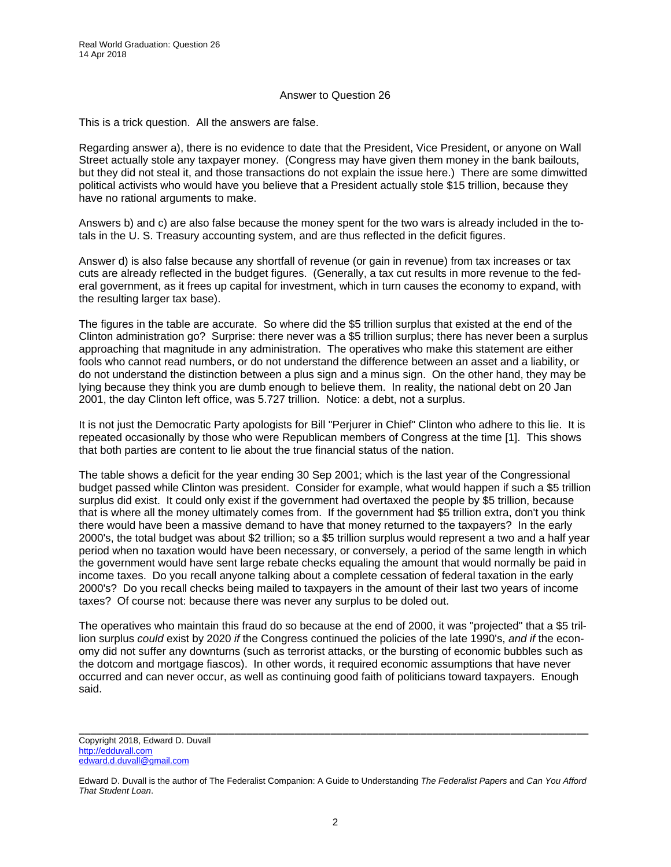## Answer to Question 26

This is a trick question. All the answers are false.

Regarding answer a), there is no evidence to date that the President, Vice President, or anyone on Wall Street actually stole any taxpayer money. (Congress may have given them money in the bank bailouts, but they did not steal it, and those transactions do not explain the issue here.) There are some dimwitted political activists who would have you believe that a President actually stole \$15 trillion, because they have no rational arguments to make.

Answers b) and c) are also false because the money spent for the two wars is already included in the totals in the U. S. Treasury accounting system, and are thus reflected in the deficit figures.

Answer d) is also false because any shortfall of revenue (or gain in revenue) from tax increases or tax cuts are already reflected in the budget figures. (Generally, a tax cut results in more revenue to the federal government, as it frees up capital for investment, which in turn causes the economy to expand, with the resulting larger tax base).

The figures in the table are accurate. So where did the \$5 trillion surplus that existed at the end of the Clinton administration go? Surprise: there never was a \$5 trillion surplus; there has never been a surplus approaching that magnitude in any administration. The operatives who make this statement are either fools who cannot read numbers, or do not understand the difference between an asset and a liability, or do not understand the distinction between a plus sign and a minus sign. On the other hand, they may be lying because they think you are dumb enough to believe them. In reality, the national debt on 20 Jan 2001, the day Clinton left office, was 5.727 trillion. Notice: a debt, not a surplus.

It is not just the Democratic Party apologists for Bill "Perjurer in Chief" Clinton who adhere to this lie. It is repeated occasionally by those who were Republican members of Congress at the time [1]. This shows that both parties are content to lie about the true financial status of the nation.

The table shows a deficit for the year ending 30 Sep 2001; which is the last year of the Congressional budget passed while Clinton was president. Consider for example, what would happen if such a \$5 trillion surplus did exist. It could only exist if the government had overtaxed the people by \$5 trillion, because that is where all the money ultimately comes from. If the government had \$5 trillion extra, don't you think there would have been a massive demand to have that money returned to the taxpayers? In the early 2000's, the total budget was about \$2 trillion; so a \$5 trillion surplus would represent a two and a half year period when no taxation would have been necessary, or conversely, a period of the same length in which the government would have sent large rebate checks equaling the amount that would normally be paid in income taxes. Do you recall anyone talking about a complete cessation of federal taxation in the early 2000's? Do you recall checks being mailed to taxpayers in the amount of their last two years of income taxes? Of course not: because there was never any surplus to be doled out.

The operatives who maintain this fraud do so because at the end of 2000, it was "projected" that a \$5 trillion surplus *could* exist by 2020 *if* the Congress continued the policies of the late 1990's, *and if* the economy did not suffer any downturns (such as terrorist attacks, or the bursting of economic bubbles such as the dotcom and mortgage fiascos). In other words, it required economic assumptions that have never occurred and can never occur, as well as continuing good faith of politicians toward taxpayers. Enough said.

\_\_\_\_\_\_\_\_\_\_\_\_\_\_\_\_\_\_\_\_\_\_\_\_\_\_\_\_\_\_\_\_\_\_\_\_\_\_\_\_\_\_\_\_\_\_\_\_\_\_\_\_\_\_\_\_\_\_\_\_\_\_\_\_\_\_\_\_\_\_\_\_\_\_\_\_\_\_\_\_\_\_\_\_\_ Copyright 2018, Edward D. Duvall http://edduvall.com edward.d.duvall@gmail.com

Edward D. Duvall is the author of The Federalist Companion: A Guide to Understanding *The Federalist Papers* and *Can You Afford That Student Loan*.